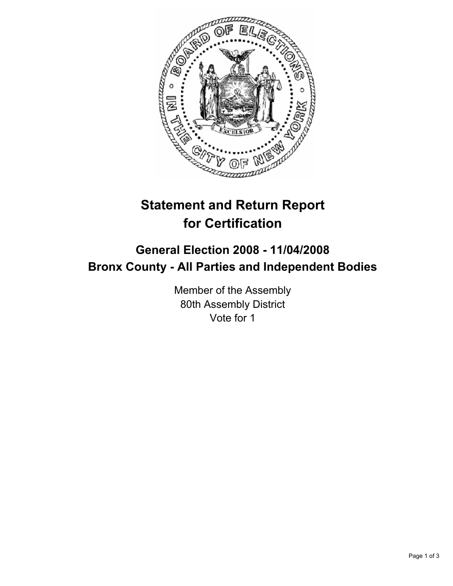

# **Statement and Return Report for Certification**

## **General Election 2008 - 11/04/2008 Bronx County - All Parties and Independent Bodies**

Member of the Assembly 80th Assembly District Vote for 1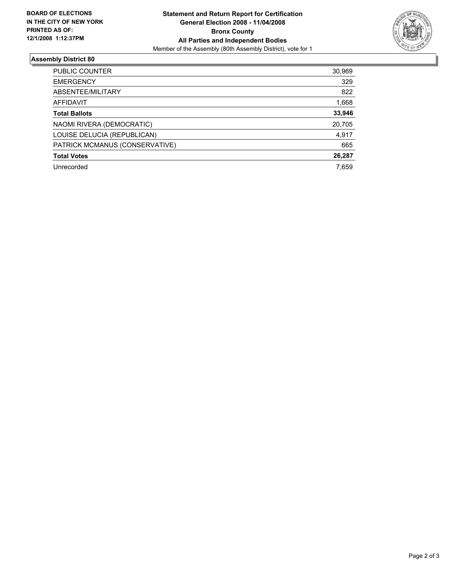

### **Assembly District 80**